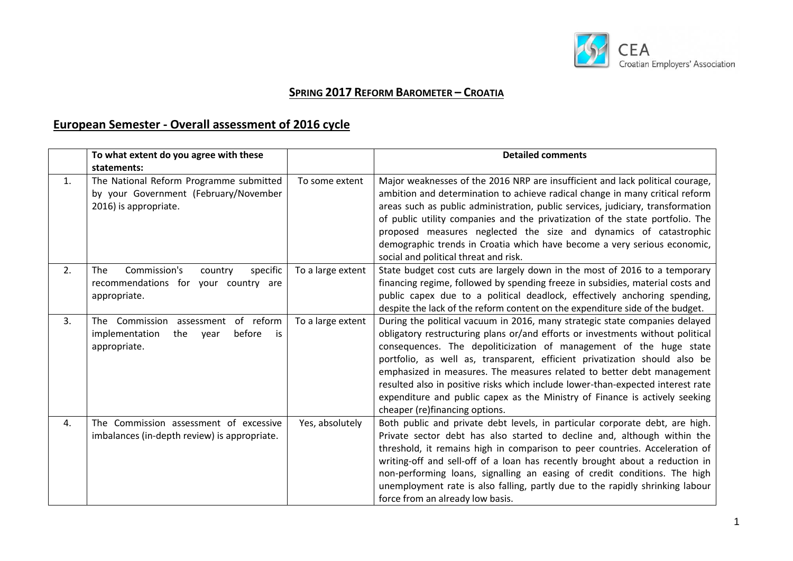

# **SPRING 2017 REFORM BAROMETER – CROATIA**

## **European Semester - Overall assessment of 2016 cycle**

|    | To what extent do you agree with these<br>statements:                                                           |                   | <b>Detailed comments</b>                                                                                                                                                                                                                                                                                                                                                                                                                                                                                                                                                                        |
|----|-----------------------------------------------------------------------------------------------------------------|-------------------|-------------------------------------------------------------------------------------------------------------------------------------------------------------------------------------------------------------------------------------------------------------------------------------------------------------------------------------------------------------------------------------------------------------------------------------------------------------------------------------------------------------------------------------------------------------------------------------------------|
| 1. | The National Reform Programme submitted<br>by your Government (February/November<br>2016) is appropriate.       | To some extent    | Major weaknesses of the 2016 NRP are insufficient and lack political courage,<br>ambition and determination to achieve radical change in many critical reform<br>areas such as public administration, public services, judiciary, transformation<br>of public utility companies and the privatization of the state portfolio. The<br>proposed measures neglected the size and dynamics of catastrophic<br>demographic trends in Croatia which have become a very serious economic,<br>social and political threat and risk.                                                                     |
| 2. | Commission's<br><b>The</b><br>specific<br>country<br>recommendations for your country are<br>appropriate.       | To a large extent | State budget cost cuts are largely down in the most of 2016 to a temporary<br>financing regime, followed by spending freeze in subsidies, material costs and<br>public capex due to a political deadlock, effectively anchoring spending,<br>despite the lack of the reform content on the expenditure side of the budget.                                                                                                                                                                                                                                                                      |
| 3. | of reform<br>The<br>Commission<br>assessment<br>before<br>implementation<br>the<br>year<br>is i<br>appropriate. | To a large extent | During the political vacuum in 2016, many strategic state companies delayed<br>obligatory restructuring plans or/and efforts or investments without political<br>consequences. The depoliticization of management of the huge state<br>portfolio, as well as, transparent, efficient privatization should also be<br>emphasized in measures. The measures related to better debt management<br>resulted also in positive risks which include lower-than-expected interest rate<br>expenditure and public capex as the Ministry of Finance is actively seeking<br>cheaper (re)financing options. |
| 4. | The Commission assessment of excessive<br>imbalances (in-depth review) is appropriate.                          | Yes, absolutely   | Both public and private debt levels, in particular corporate debt, are high.<br>Private sector debt has also started to decline and, although within the<br>threshold, it remains high in comparison to peer countries. Acceleration of<br>writing-off and sell-off of a loan has recently brought about a reduction in<br>non-performing loans, signalling an easing of credit conditions. The high<br>unemployment rate is also falling, partly due to the rapidly shrinking labour<br>force from an already low basis.                                                                       |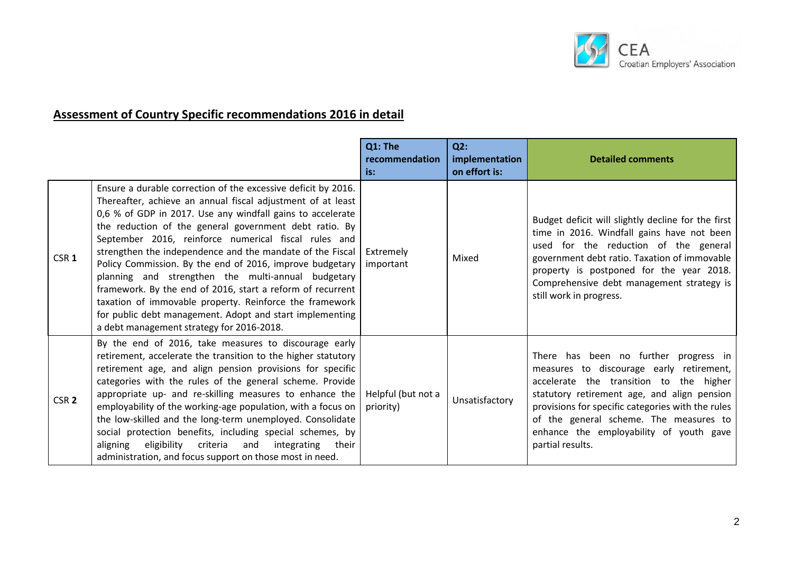

# **Assessment of Country Specific recommendations 2016 in detail**

|                  |                                                                                                                                                                                                                                                                                                                                                                                                                                                                                                                                                                                                                                                                                                                               | Q1: The<br>recommendation<br>is: | Q2:<br>implementation<br>on effort is: | <b>Detailed comments</b>                                                                                                                                                                                                                                                                                                                  |
|------------------|-------------------------------------------------------------------------------------------------------------------------------------------------------------------------------------------------------------------------------------------------------------------------------------------------------------------------------------------------------------------------------------------------------------------------------------------------------------------------------------------------------------------------------------------------------------------------------------------------------------------------------------------------------------------------------------------------------------------------------|----------------------------------|----------------------------------------|-------------------------------------------------------------------------------------------------------------------------------------------------------------------------------------------------------------------------------------------------------------------------------------------------------------------------------------------|
| CSR <sub>1</sub> | Ensure a durable correction of the excessive deficit by 2016.<br>Thereafter, achieve an annual fiscal adjustment of at least<br>0,6 % of GDP in 2017. Use any windfall gains to accelerate<br>the reduction of the general government debt ratio. By<br>September 2016, reinforce numerical fiscal rules and<br>strengthen the independence and the mandate of the Fiscal<br>Policy Commission. By the end of 2016, improve budgetary<br>planning and strengthen the multi-annual budgetary<br>framework. By the end of 2016, start a reform of recurrent<br>taxation of immovable property. Reinforce the framework<br>for public debt management. Adopt and start implementing<br>a debt management strategy for 2016-2018. | Extremely<br>important           | Mixed                                  | Budget deficit will slightly decline for the first<br>time in 2016. Windfall gains have not been<br>used for the reduction of the general<br>government debt ratio. Taxation of immovable<br>property is postponed for the year 2018.<br>Comprehensive debt management strategy is<br>still work in progress.                             |
| CSR <sub>2</sub> | By the end of 2016, take measures to discourage early<br>retirement, accelerate the transition to the higher statutory<br>retirement age, and align pension provisions for specific<br>categories with the rules of the general scheme. Provide<br>appropriate up- and re-skilling measures to enhance the<br>employability of the working-age population, with a focus on<br>the low-skilled and the long-term unemployed. Consolidate<br>social protection benefits, including special schemes, by<br>eligibility criteria<br>aligning<br>and<br>integrating<br>their<br>administration, and focus support on those most in need.                                                                                           | Helpful (but not a<br>priority)  | Unsatisfactory                         | There has been no further progress in<br>measures to discourage early retirement,<br>accelerate the transition to the higher<br>statutory retirement age, and align pension<br>provisions for specific categories with the rules<br>of the general scheme. The measures to<br>enhance the employability of youth gave<br>partial results. |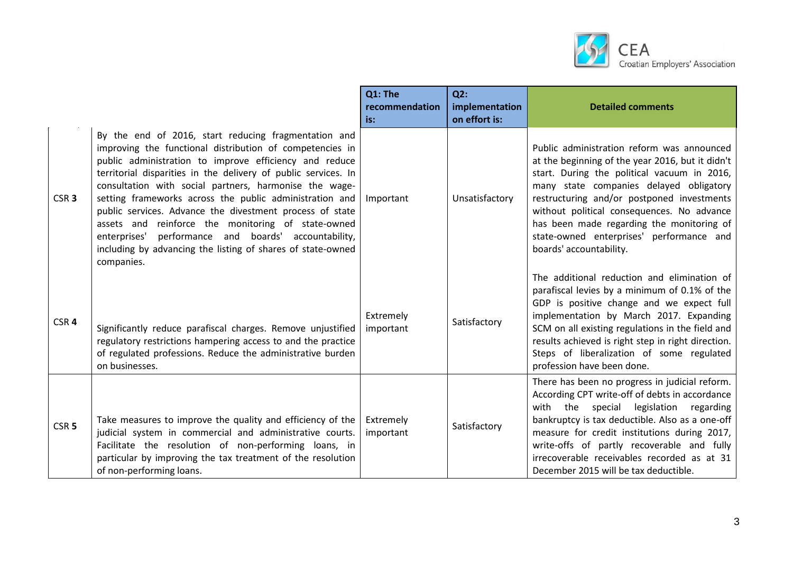

|                  |                                                                                                                                                                                                                                                                                                                                                                                                                                                                                                                                                                                                                          | Q1: The<br>recommendation<br>is: | Q2:<br>implementation<br>on effort is: | <b>Detailed comments</b>                                                                                                                                                                                                                                                                                                                                                                                 |
|------------------|--------------------------------------------------------------------------------------------------------------------------------------------------------------------------------------------------------------------------------------------------------------------------------------------------------------------------------------------------------------------------------------------------------------------------------------------------------------------------------------------------------------------------------------------------------------------------------------------------------------------------|----------------------------------|----------------------------------------|----------------------------------------------------------------------------------------------------------------------------------------------------------------------------------------------------------------------------------------------------------------------------------------------------------------------------------------------------------------------------------------------------------|
| CSR <sub>3</sub> | By the end of 2016, start reducing fragmentation and<br>improving the functional distribution of competencies in<br>public administration to improve efficiency and reduce<br>territorial disparities in the delivery of public services. In<br>consultation with social partners, harmonise the wage-<br>setting frameworks across the public administration and<br>public services. Advance the divestment process of state<br>assets and reinforce the monitoring of state-owned<br>enterprises' performance and boards' accountability,<br>including by advancing the listing of shares of state-owned<br>companies. | Important                        | Unsatisfactory                         | Public administration reform was announced<br>at the beginning of the year 2016, but it didn't<br>start. During the political vacuum in 2016,<br>many state companies delayed obligatory<br>restructuring and/or postponed investments<br>without political consequences. No advance<br>has been made regarding the monitoring of<br>state-owned enterprises' performance and<br>boards' accountability. |
| CSR <sub>4</sub> | Significantly reduce parafiscal charges. Remove unjustified<br>regulatory restrictions hampering access to and the practice<br>of regulated professions. Reduce the administrative burden<br>on businesses.                                                                                                                                                                                                                                                                                                                                                                                                              | Extremely<br>important           | Satisfactory                           | The additional reduction and elimination of<br>parafiscal levies by a minimum of 0.1% of the<br>GDP is positive change and we expect full<br>implementation by March 2017. Expanding<br>SCM on all existing regulations in the field and<br>results achieved is right step in right direction.<br>Steps of liberalization of some regulated<br>profession have been done.                                |
| CSR <sub>5</sub> | Take measures to improve the quality and efficiency of the<br>judicial system in commercial and administrative courts.<br>Facilitate the resolution of non-performing loans, in<br>particular by improving the tax treatment of the resolution<br>of non-performing loans.                                                                                                                                                                                                                                                                                                                                               | Extremely<br>important           | Satisfactory                           | There has been no progress in judicial reform.<br>According CPT write-off of debts in accordance<br>with the special legislation<br>regarding<br>bankruptcy is tax deductible. Also as a one-off<br>measure for credit institutions during 2017,<br>write-offs of partly recoverable and fully<br>irrecoverable receivables recorded as at 31<br>December 2015 will be tax deductible.                   |